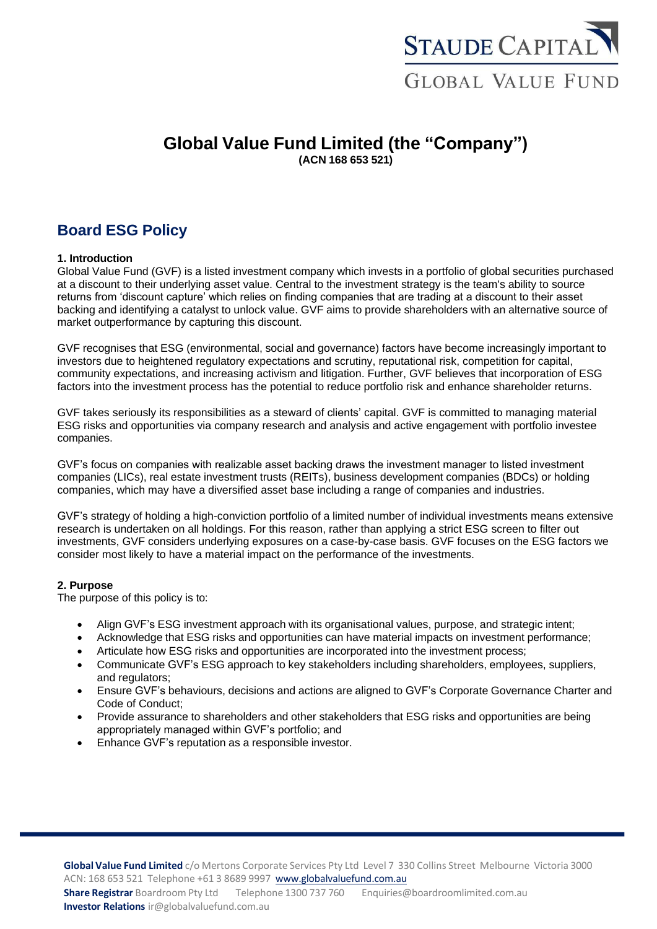

## **Global Value Fund Limited (the "Company") (ACN 168 653 521)**

# **Board ESG Policy**

#### **1. Introduction**

Global Value Fund (GVF) is a listed investment company which invests in a portfolio of global securities purchased at a discount to their underlying asset value. Central to the investment strategy is the team's ability to source returns from 'discount capture' which relies on finding companies that are trading at a discount to their asset backing and identifying a catalyst to unlock value. GVF aims to provide shareholders with an alternative source of market outperformance by capturing this discount.

GVF recognises that ESG (environmental, social and governance) factors have become increasingly important to investors due to heightened regulatory expectations and scrutiny, reputational risk, competition for capital, community expectations, and increasing activism and litigation. Further, GVF believes that incorporation of ESG factors into the investment process has the potential to reduce portfolio risk and enhance shareholder returns.

GVF takes seriously its responsibilities as a steward of clients' capital. GVF is committed to managing material ESG risks and opportunities via company research and analysis and active engagement with portfolio investee companies.

GVF's focus on companies with realizable asset backing draws the investment manager to listed investment companies (LICs), real estate investment trusts (REITs), business development companies (BDCs) or holding companies, which may have a diversified asset base including a range of companies and industries.

GVF's strategy of holding a high-conviction portfolio of a limited number of individual investments means extensive research is undertaken on all holdings. For this reason, rather than applying a strict ESG screen to filter out investments, GVF considers underlying exposures on a case-by-case basis. GVF focuses on the ESG factors we consider most likely to have a material impact on the performance of the investments.

#### **2. Purpose**

The purpose of this policy is to:

- Align GVF's ESG investment approach with its organisational values, purpose, and strategic intent;
- Acknowledge that ESG risks and opportunities can have material impacts on investment performance;
- Articulate how ESG risks and opportunities are incorporated into the investment process;
- Communicate GVF's ESG approach to key stakeholders including shareholders, employees, suppliers, and regulators;
- Ensure GVF's behaviours, decisions and actions are aligned to GVF's Corporate Governance Charter and Code of Conduct;
- Provide assurance to shareholders and other stakeholders that ESG risks and opportunities are being appropriately managed within GVF's portfolio; and
- Enhance GVF's reputation as a responsible investor.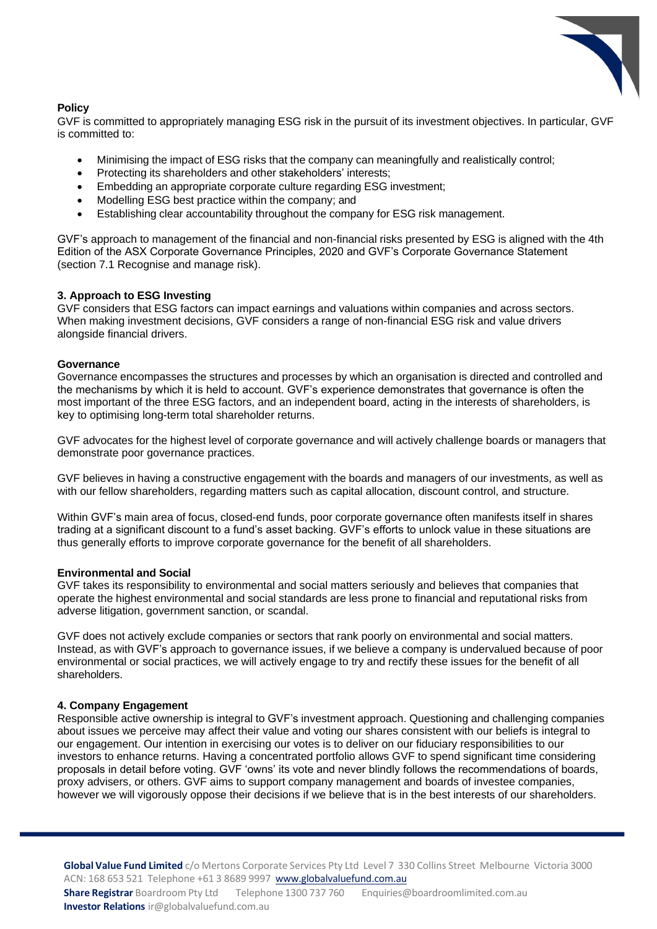

### **Policy**

GVF is committed to appropriately managing ESG risk in the pursuit of its investment objectives. In particular, GVF is committed to:

- Minimising the impact of ESG risks that the company can meaningfully and realistically control;
- Protecting its shareholders and other stakeholders' interests;
- Embedding an appropriate corporate culture regarding ESG investment;
- Modelling ESG best practice within the company; and
- Establishing clear accountability throughout the company for ESG risk management.

GVF's approach to management of the financial and non-financial risks presented by ESG is aligned with the 4th Edition of the ASX Corporate Governance Principles, 2020 and GVF's Corporate Governance Statement (section 7.1 Recognise and manage risk).

#### **3. Approach to ESG Investing**

GVF considers that ESG factors can impact earnings and valuations within companies and across sectors. When making investment decisions, GVF considers a range of non-financial ESG risk and value drivers alongside financial drivers.

#### **Governance**

Governance encompasses the structures and processes by which an organisation is directed and controlled and the mechanisms by which it is held to account. GVF's experience demonstrates that governance is often the most important of the three ESG factors, and an independent board, acting in the interests of shareholders, is key to optimising long-term total shareholder returns.

GVF advocates for the highest level of corporate governance and will actively challenge boards or managers that demonstrate poor governance practices.

GVF believes in having a constructive engagement with the boards and managers of our investments, as well as with our fellow shareholders, regarding matters such as capital allocation, discount control, and structure.

Within GVF's main area of focus, closed-end funds, poor corporate governance often manifests itself in shares trading at a significant discount to a fund's asset backing. GVF's efforts to unlock value in these situations are thus generally efforts to improve corporate governance for the benefit of all shareholders.

#### **Environmental and Social**

GVF takes its responsibility to environmental and social matters seriously and believes that companies that operate the highest environmental and social standards are less prone to financial and reputational risks from adverse litigation, government sanction, or scandal.

GVF does not actively exclude companies or sectors that rank poorly on environmental and social matters. Instead, as with GVF's approach to governance issues, if we believe a company is undervalued because of poor environmental or social practices, we will actively engage to try and rectify these issues for the benefit of all shareholders.

### **4. Company Engagement**

Responsible active ownership is integral to GVF's investment approach. Questioning and challenging companies about issues we perceive may affect their value and voting our shares consistent with our beliefs is integral to our engagement. Our intention in exercising our votes is to deliver on our fiduciary responsibilities to our investors to enhance returns. Having a concentrated portfolio allows GVF to spend significant time considering proposals in detail before voting. GVF 'owns' its vote and never blindly follows the recommendations of boards, proxy advisers, or others. GVF aims to support company management and boards of investee companies, however we will vigorously oppose their decisions if we believe that is in the best interests of our shareholders.